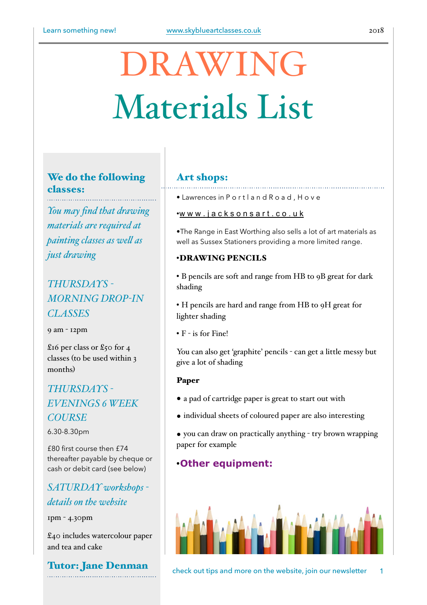# DRAWING Materials List

# We do the following classes:

*You may find that drawing materials are required at painting classes as wel as just drawing*

# *THURSDAYS - MORNING DROP-IN CLASSES*

9 am - 12pm

£16 per class or £50 for 4 classes (to be used within 3 months)

# *THURSDAYS - EVENINGS 6 WEEK COURSE*

6.30-8.30pm

£80 first course then £74 thereafter payable by cheque or cash or debit card (see below)

# *SATURDAY workshops details on the website*

1pm - 4.30pm

£40 includes watercolour paper and tea and cake

Tutor: Jane Denman

## Art shops:

• Lawrences in P o r t l a n d R o a d , H o v e

#### •[w w w . j a c k s o n s a r t . c o . u k](http://www.jacksonsart.co.uk)

•The Range in East Worthing also sells a lot of art materials as well as Sussex Stationers providing a more limited range.

### •DRAWING PENCILS

• B pencils are soft and range from HB to 9B great for dark shading

• H pencils are hard and range from HB to 9H great for lighter shading

• F - is for Fine!

You can also get 'graphite' pencils - can get a little messy but give a lot of shading

#### Paper

- a pad of cartridge paper is great to start out with
- individual sheets of coloured paper are also interesting
- you can draw on practically anything try brown wrapping paper for example

# •**Other equipment:**



check out tips and more on the website, join our newsletter 1